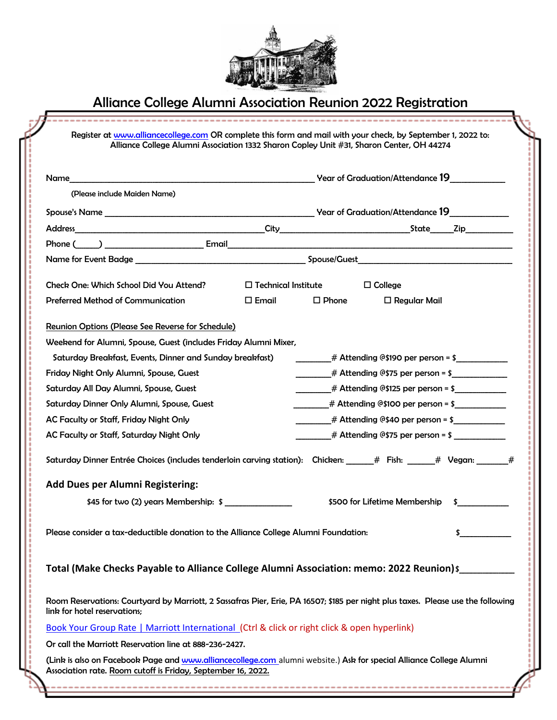

## Alliance College Alumni Association Reunion 2022 Registration

| (Please include Maiden Name)                                                                                                                                                                                                  |                                    |                                                    |        |
|-------------------------------------------------------------------------------------------------------------------------------------------------------------------------------------------------------------------------------|------------------------------------|----------------------------------------------------|--------|
|                                                                                                                                                                                                                               |                                    |                                                    |        |
| Address and the control of the control of the control of the control of the control of the control of the control of the control of the control of the control of the control of the control of the control of the control of |                                    |                                                    |        |
|                                                                                                                                                                                                                               |                                    |                                                    |        |
|                                                                                                                                                                                                                               |                                    |                                                    |        |
| Check One: Which School Did You Attend?                                                                                                                                                                                       | $\square$ Technical Institute      | $\Box$ College                                     |        |
| <b>Preferred Method of Communication</b>                                                                                                                                                                                      | $\square$ Phone<br>$\square$ Email | $\Box$ Regular Mail                                |        |
| Reunion Options (Please See Reverse for Schedule)                                                                                                                                                                             |                                    |                                                    |        |
| Weekend for Alumni, Spouse, Guest (includes Friday Alumni Mixer,                                                                                                                                                              |                                    |                                                    |        |
| Saturday Breakfast, Events, Dinner and Sunday breakfast)                                                                                                                                                                      |                                    | $\frac{4}{100}$ # Attending @\$190 per person = \$ |        |
| Friday Night Only Alumni, Spouse, Guest                                                                                                                                                                                       |                                    | $\#$ Attending @\$75 per person = \$               |        |
| Saturday All Day Alumni, Spouse, Guest                                                                                                                                                                                        |                                    | # Attending @\$125 per person = \$                 |        |
| Saturday Dinner Only Alumni, Spouse, Guest                                                                                                                                                                                    |                                    | $\#$ Attending @\$100 per person = \$              |        |
| AC Faculty or Staff, Friday Night Only                                                                                                                                                                                        |                                    | $\#$ Attending @\$40 per person = \$               |        |
| AC Faculty or Staff, Saturday Night Only                                                                                                                                                                                      |                                    | $\#$ Attending @\$75 per person = \$               |        |
| Saturday Dinner Entrée Choices (includes tenderloin carving station): Chicken: _____# Fish: _____# Vegan: _____#                                                                                                              |                                    |                                                    |        |
| Add Dues per Alumni Registering:                                                                                                                                                                                              |                                    |                                                    |        |
| \$45 for two (2) years Membership: \$                                                                                                                                                                                         |                                    | \$500 for Lifetime Membership                      | $\sim$ |
|                                                                                                                                                                                                                               |                                    |                                                    |        |
| Please consider a tax-deductible donation to the Alliance College Alumni Foundation:                                                                                                                                          |                                    |                                                    |        |
| Total (Make Checks Payable to Alliance College Alumni Association: memo: 2022 Reunion) \$                                                                                                                                     |                                    |                                                    |        |
| Room Reservations: Courtyard by Marriott, 2 Sassafras Pier, Erie, PA 16507; \$185 per night plus taxes. Please use the following<br>link for hotel reservations:                                                              |                                    |                                                    |        |
| Book Your Group Rate   Marriott International (Ctrl & click or right click & open hyperlink)                                                                                                                                  |                                    |                                                    |        |
| Or call the Marriott Reservation line at 888-236-2427.                                                                                                                                                                        |                                    |                                                    |        |